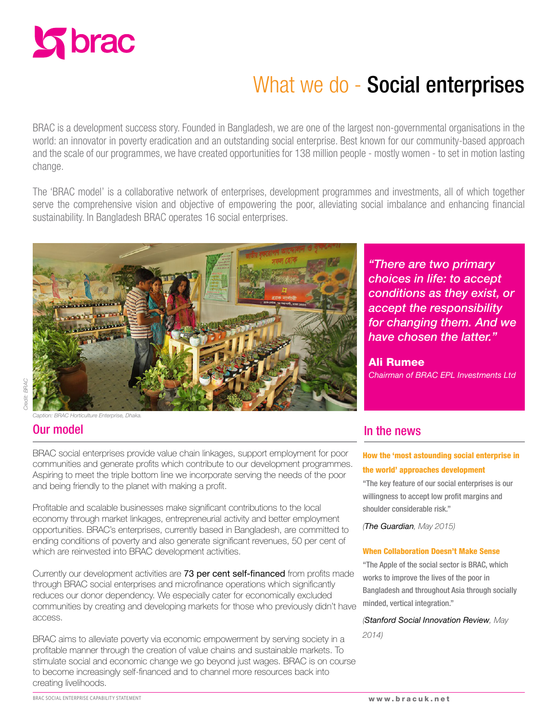

# What we do - Social enterprises

BRAC is a development success story. Founded in Bangladesh, we are one of the largest non-governmental organisations in the world: an innovator in poverty eradication and an outstanding social enterprise. Best known for our community-based approach and the scale of our programmes, we have created opportunities for 138 million people - mostly women - to set in motion lasting change.

The 'BRAC model' is a collaborative network of enterprises, development programmes and investments, all of which together serve the comprehensive vision and objective of empowering the poor, alleviating social imbalance and enhancing financial sustainability. In Bangladesh BRAC operates 16 social enterprises.



*Credit: BRAC*  redit: BRAC

# *Caption: BRAC Horticulture Enterprise, Dhaka.*

BRAC social enterprises provide value chain linkages, support employment for poor

communities and generate profits which contribute to our development programmes. Aspiring to meet the triple bottom line we incorporate serving the needs of the poor and being friendly to the planet with making a profit.

Profitable and scalable businesses make significant contributions to the local economy through market linkages, entrepreneurial activity and better employment opportunities. BRAC's enterprises, currently based in Bangladesh, are committed to ending conditions of poverty and also generate significant revenues, 50 per cent of which are reinvested into BRAC development activities.

Currently our development activities are 73 per cent self-financed from profits made through BRAC social enterprises and microfinance operations which significantly reduces our donor dependency. We especially cater for economically excluded communities by creating and developing markets for those who previously didn't have access.

BRAC aims to alleviate poverty via economic empowerment by serving society in a profitable manner through the creation of value chains and sustainable markets. To stimulate social and economic change we go beyond just wages. BRAC is on course to become increasingly self-financed and to channel more resources back into creating livelihoods.

*"There are two primary choices in life: to accept conditions as they exist, or accept the responsibility for changing them. And we have chosen the latter."* 

### Ali Rumee

*Chairman of BRAC EPL Investments Ltd*

# Our model **Our model** is a set of the news that the news the news the news that the news the news the news the news

#### How the 'most astounding social enterprise in the world' approaches development

"The key feature of our social enterprises is our willingness to accept low profit margins and shoulder considerable risk."

*(The Guardian, May 2015)*

#### When Collaboration Doesn't Make Sense

"The Apple of the social sector is BRAC, which works to improve the lives of the poor in Bangladesh and throughout Asia through socially minded, vertical integration."

*(Stanford Social Innovation Review, May* 

*2014)*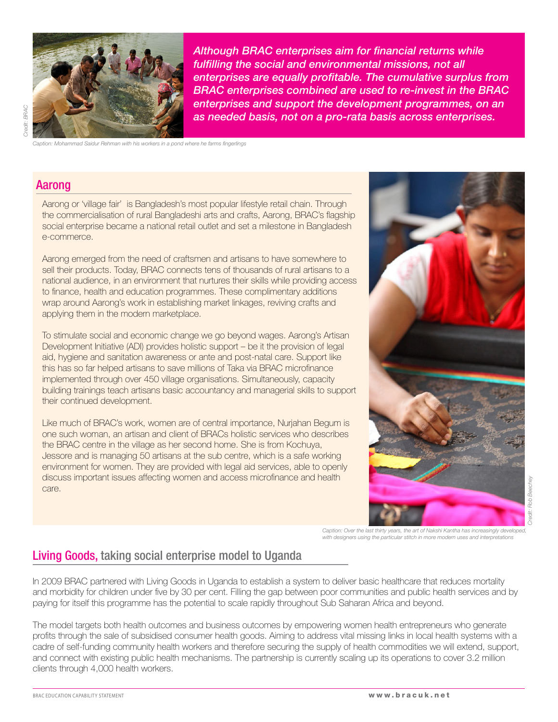

*Although BRAC enterprises aim for financial returns while fulfilling the social and environmental missions, not all enterprises are equally profitable. The cumulative surplus from BRAC enterprises combined are used to re-invest in the BRAC enterprises and support the development programmes, on an as needed basis, not on a pro-rata basis across enterprises.*

*Caption: Mohammad Saidur Rehman with his workers in a pond where he farms fingerlings*

#### Aarong

*Credit: BRAC* 

Credit: BRAC

Aarong or 'village fair' is Bangladesh's most popular lifestyle retail chain. Through the commercialisation of rural Bangladeshi arts and crafts, Aarong, BRAC's flagship social enterprise became a national retail outlet and set a milestone in Bangladesh e-commerce.

Aarong emerged from the need of craftsmen and artisans to have somewhere to sell their products. Today, BRAC connects tens of thousands of rural artisans to a national audience, in an environment that nurtures their skills while providing access to finance, health and education programmes. These complimentary additions wrap around Aarong's work in establishing market linkages, reviving crafts and applying them in the modern marketplace.

To stimulate social and economic change we go beyond wages. Aarong's Artisan Development Initiative (ADI) provides holistic support – be it the provision of legal aid, hygiene and sanitation awareness or ante and post-natal care. Support like this has so far helped artisans to save millions of Taka via BRAC microfinance implemented through over 450 village organisations. Simultaneously, capacity building trainings teach artisans basic accountancy and managerial skills to support their continued development.

Like much of BRAC's work, women are of central importance, Nurjahan Begum is one such woman, an artisan and client of BRACs holistic services who describes the BRAC centre in the village as her second home. She is from Kochuya, Jessore and is managing 50 artisans at the sub centre, which is a safe working environment for women. They are provided with legal aid services, able to openly discuss important issues affecting women and access microfinance and health care.



*Caption: Over the last thirty years, the art of Nakshi Kantha has increasingly developed, with designers using the particular stitch in more modern uses and interpretations*

# Living Goods, taking social enterprise model to Uganda

In 2009 BRAC partnered with Living Goods in Uganda to establish a system to deliver basic healthcare that reduces mortality and morbidity for children under five by 30 per cent. Filling the gap between poor communities and public health services and by paying for itself this programme has the potential to scale rapidly throughout Sub Saharan Africa and beyond.

The model targets both health outcomes and business outcomes by empowering women health entrepreneurs who generate profits through the sale of subsidised consumer health goods. Aiming to address vital missing links in local health systems with a cadre of self-funding community health workers and therefore securing the supply of health commodities we will extend, support, and connect with existing public health mechanisms. The partnership is currently scaling up its operations to cover 3.2 million clients through 4,000 health workers.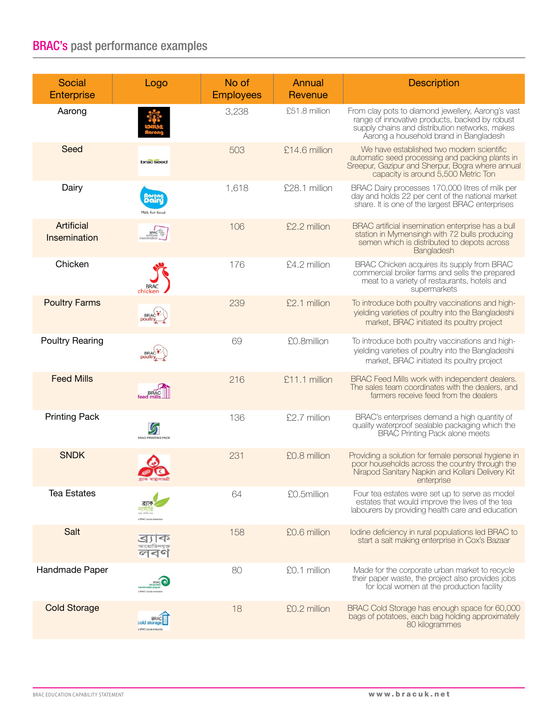# BRAC's past performance examples

| Social<br><b>Enterprise</b> | Logo                                                  | No of<br><b>Employees</b> | Annual<br>Revenue | <b>Description</b>                                                                                                                                                                               |
|-----------------------------|-------------------------------------------------------|---------------------------|-------------------|--------------------------------------------------------------------------------------------------------------------------------------------------------------------------------------------------|
| Aarong                      |                                                       | 3,238                     | £51.8 million     | From clay pots to diamond jewellery, Aarong's vast<br>range of innovative products, backed by robust<br>supply chains and distribution networks, makes<br>Aarong a household brand in Bangladesh |
| Seed                        | brac seed                                             | 503                       | £14.6 million     | We have established two modern scientific<br>automatic seed processing and packing plants in<br>Sreepur, Gazipur and Sherpur, Bogra where annual<br>capacity is around 5,500 Metric Ton          |
| Dairy                       | <b>Agrong</b><br>Milk for Good                        | 1,618                     | £28.1 million     | BRAC Dairy processes 170,000 litres of milk per<br>day and holds 22 per cent of the national market<br>share. It is one of the largest BRAC enterprises                                          |
| Artificial<br>Insemination  |                                                       | 106                       | £2.2 million      | BRAC artificial insemination enterprise has a bull<br>station in Mymensingh with 72 bulls producing<br>semen which is distributed to depots across<br>Bangladesh                                 |
| Chicken                     | chicken                                               | 176                       | £4.2 million      | BRAC Chicken acquires its supply from BRAC<br>commercial broiler farms and sells the prepared<br>meat to a variety of restaurants, hotels and<br>supermarkets                                    |
| <b>Poultry Farms</b>        | BRAC <sup>T</sup>                                     | 239                       | £2.1 million      | To introduce both poultry vaccinations and high-<br>yielding varieties of poultry into the Bangladeshi<br>market, BRAC initiated its poultry project                                             |
| <b>Poultry Rearing</b>      |                                                       | 69                        | £0.8million       | To introduce both poultry vaccinations and high-<br>yielding varieties of poultry into the Bangladeshi<br>market, BRAC initiated its poultry project                                             |
| <b>Feed Mills</b>           |                                                       | 216                       | £11.1 million     | BRAC Feed Mills work with independent dealers.<br>The sales team coordinates with the dealers, and<br>farmers receive feed from the dealers                                                      |
| <b>Printing Pack</b>        | <u>්</u><br><b>BRAC PRINTING PACK</b>                 | 136                       | £2.7 million      | BRAC's enterprises demand a high quantity of<br>quality waterproof sealable packaging which the<br><b>BRAC</b> Printing Pack alone meets                                                         |
| <b>SNDK</b>                 | ব্ৰ্যাক স্বাস্থ্যসামগ্ৰী                              | 231                       | £0.8 million      | Providing a solution for female personal hygiene in<br>poor households across the country through the<br>Nirapod Sanitary Napkin and Kollani Delivery Kit<br>enterprise                          |
| <b>Tea Estates</b>          |                                                       | 64                        | £0.5million       | Four tea estates were set up to serve as model<br>estates that would improve the lives of the tea<br>labourers by providing health care and education                                            |
| Salt                        | P<br>ଙା ଏଦା                                           | 158                       | £0.6 million      | lodine deficiency in rural populations led BRAC to<br>start a salt making enterprise in Cox's Bazaar                                                                                             |
| Handmade Paper              |                                                       | 80                        | £0.1 million      | Made for the corporate urban market to recycle<br>their paper waste, the project also provides jobs<br>for local women at the production facility                                                |
| <b>Cold Storage</b>         | <b>BRAC</b><br>cold storad<br>a BRAC social enterpris | 18                        | £0.2 million      | BRAC Cold Storage has enough space for 60,000<br>bags of potatoes, each bag holding approximately<br>80 kilogrammes                                                                              |